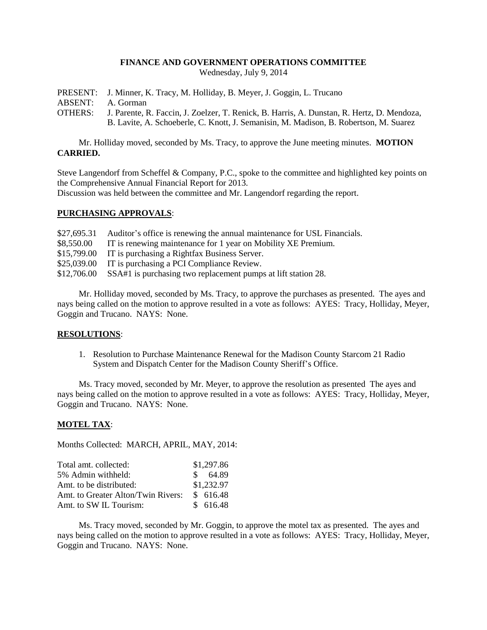#### **FINANCE AND GOVERNMENT OPERATIONS COMMITTEE**

Wednesday, July 9, 2014

PRESENT: J. Minner, K. Tracy, M. Holliday, B. Meyer, J. Goggin, L. Trucano ABSENT: A. Gorman OTHERS: J. Parente, R. Faccin, J. Zoelzer, T. Renick, B. Harris, A. Dunstan, R. Hertz, D. Mendoza, B. Lavite, A. Schoeberle, C. Knott, J. Semanisin, M. Madison, B. Robertson, M. Suarez

Mr. Holliday moved, seconded by Ms. Tracy, to approve the June meeting minutes. **MOTION CARRIED.**

Steve Langendorf from Scheffel & Company, P.C., spoke to the committee and highlighted key points on the Comprehensive Annual Financial Report for 2013.

Discussion was held between the committee and Mr. Langendorf regarding the report.

#### **PURCHASING APPROVALS**:

|            | \$27,695.31 Auditor's office is renewing the annual maintenance for USL Financials. |
|------------|-------------------------------------------------------------------------------------|
| \$8,550.00 | IT is renewing maintenance for 1 year on Mobility XE Premium.                       |
|            | \$15,799.00 IT is purchasing a Rightfax Business Server.                            |
|            | \$25,039.00 IT is purchasing a PCI Compliance Review.                               |
|            | \$12,706.00 SSA#1 is purchasing two replacement pumps at lift station 28.           |

Mr. Holliday moved, seconded by Ms. Tracy, to approve the purchases as presented. The ayes and nays being called on the motion to approve resulted in a vote as follows: AYES: Tracy, Holliday, Meyer, Goggin and Trucano. NAYS: None.

## **RESOLUTIONS**:

1. Resolution to Purchase Maintenance Renewal for the Madison County Starcom 21 Radio System and Dispatch Center for the Madison County Sheriff's Office.

Ms. Tracy moved, seconded by Mr. Meyer, to approve the resolution as presented The ayes and nays being called on the motion to approve resulted in a vote as follows: AYES: Tracy, Holliday, Meyer, Goggin and Trucano. NAYS: None.

## **MOTEL TAX**:

Months Collected: MARCH, APRIL, MAY, 2014:

| Total amt. collected:              | \$1,297.86 |
|------------------------------------|------------|
| 5% Admin withheld:                 | \$64.89    |
| Amt. to be distributed:            | \$1,232.97 |
| Amt. to Greater Alton/Twin Rivers: | \$616.48   |
| Amt. to SW IL Tourism:             | \$ 616.48  |

Ms. Tracy moved, seconded by Mr. Goggin, to approve the motel tax as presented. The ayes and nays being called on the motion to approve resulted in a vote as follows: AYES: Tracy, Holliday, Meyer, Goggin and Trucano. NAYS: None.